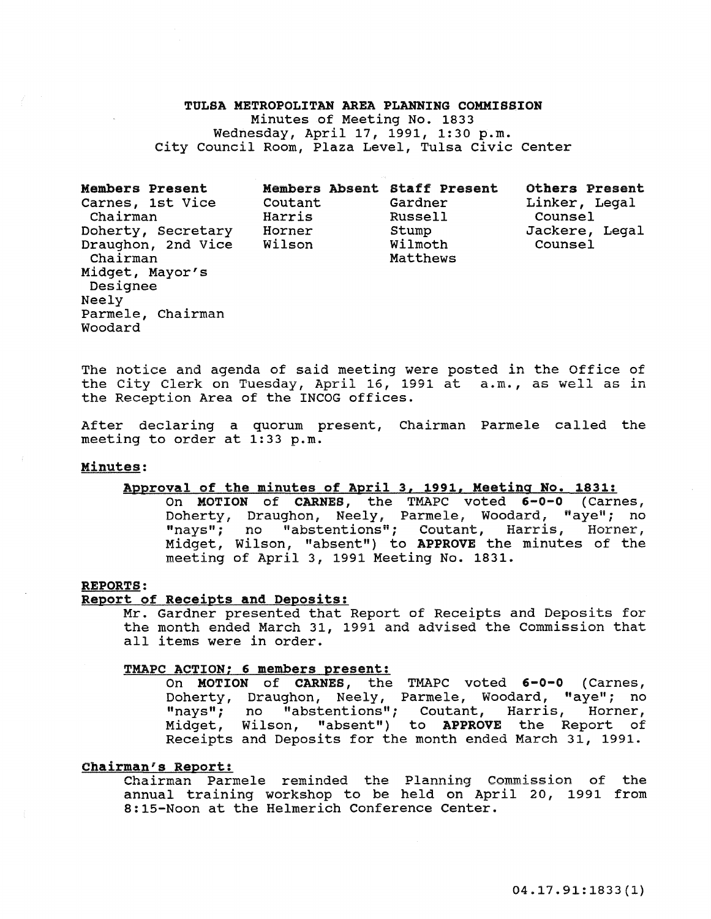## TULSA METROPOLITAN AREA PLANNING COMMISSION

Minutes of Meeting No. 1833 Wednesday, April 17, 1991, 1:30 p.m. City Council Room, Plaza Level, Tulsa civic Center

Members Present Carnes, 1st Vice Chairman Doherty, Secretary Horner Draughon, 2nd Vice Wilson Chairman Midget, Mayor's Designee Neely Parmele, Chairman Woodard Members Absent Staff Present Coutant Gardner Harris Russell Stump Wilmoth Matthews Others Present Linker, Legal Counsel Jackere, Legal Counsel

The notice and agenda of said meeting were posted in the Office of the city Clerk on Tuesday, April 16, 1991 at a.m., as well as in the Reception Area of the INCOG offices.

After declaring a quorum present, Chairman Parmele called the meeting to order at 1:33 p.m.

## Minutes:

## Approval of the minutes of April 3, 1991, Meeting No. 1831:

On MOTION of CARNES, the TMAPC voted 6-0-0 (Carnes, Doherty, Draughon, Neely, Parmele, Woodard, "aye"; no "nays"; no "abstentions"; Coutant, Harris, Horner, Midget, Wilson, "absent") to APPROVE the minutes of the meeting of April 3, 1991 Meeting No. 1831.

#### REPORTS:

## Report of Receipts and Deposits:

Mr. Gardner presented that Report of Receipts and Deposits for the month ended March 31, 1991 and advised the Commission that all items were in order.

#### TMAPC ACTION: 6 members present:

On MOTION of CARNES, the TMAPC voted 6-0-0 (Carnes, Doherty, Draughon, Neely, Parmele, Woodard, "aye"; no "nays"; no "abstentions"; Coutant, Harris, Horner, Midget, Wilson, "absent") to APPROVE the Report of Receipts and Deposits for the month ended March 31, 1991.

## Chairman's Report:

Chairman Parmele reminded the Planning Commission of the annual training workshop to be held on April 20, 1991 from 8:15-Noon at the Helmerich Conference Center.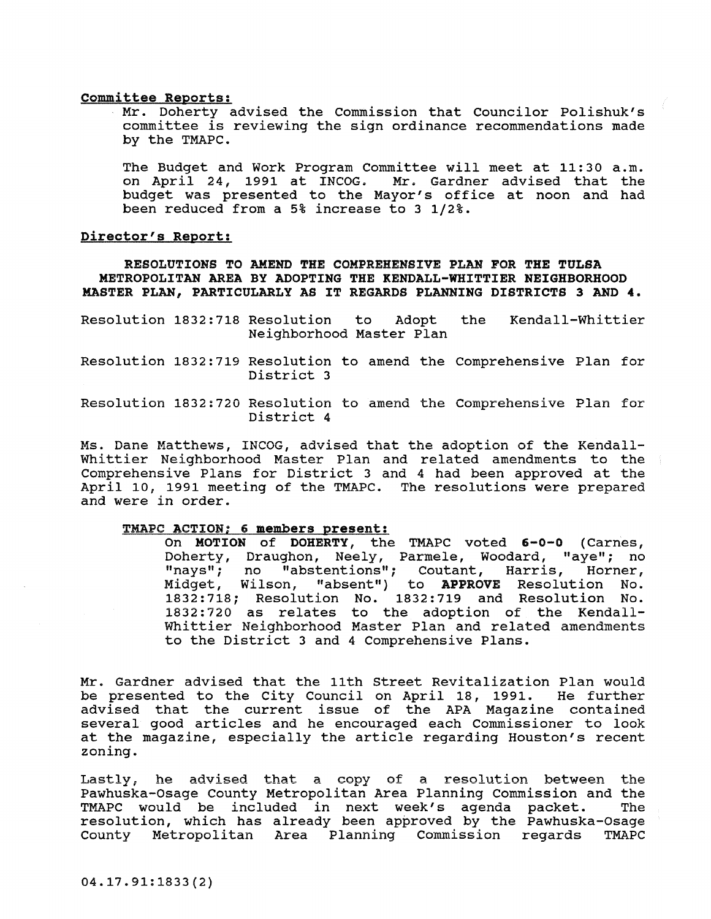#### committee Reports:

Mr. Doherty advised the Commission that Councilor Polishuk's committee is reviewing the sign ordinance recommendations made by the TMAPC.

The Budget and Work Program Committee will meet at 11:30 a.m. on April 24, 1991 at INCOG. Mr. Gardner advised that the budget was presented to the Mayor's office at noon and had been reduced from a 5% increase to 3 1/2%.

## Director's Report:

RESOLUTIONS TO AMEND THE COMPREHENSIVE PLAN FOR THE TULSA METROPOLITAN AREA BY ADOPTING THE KENDALL-WHITTIER NEIGHBORHOOD MASTER PLAN, PARTICULARLY AS IT REGARDS PLANNING DISTRICTS 3 AND 4.

- Resolution 1832:718 Resolution to Adopt the Neighborhood Master Plan Kendall-Whittier
- Resolution 1832:719 Resolution to amend the Comprehensive Plan for District 3
- Resolution 1832:720 Resolution to amend the Comprehensive Plan for District 4

Ms. Dane Matthews, INCOG, advised that the adoption of the Kendall-Whittier Neighborhood Master Plan and related amendments to the Comprehensive Plans for District 3 and 4 had been approved at the April 10, 1991 meeting of the TMAPC. The resolutions were prepared and were in order.

## TMAPC ACTION; 6 members present:

On MOTION of DOHERTY, the TMAPC voted 6-0-0 (Carnes, Doherty, Draughon, Neely, Parmele, Woodard, "aye"; no "nays"; no "abstentions"; Coutant, Harris, Horner, Midget, Wilson, "absent") to APPROVE Resolution No. 1832:718; Resolution No. 1832:719 and Resolution No. 1832:720 as relates to the adoption of the Kendall-Whittier Neighborhood Master Plan and related amendments to the District 3 and 4 Comprehensive Plans.

Mr. Gardner advised that the 11th street Revitalization Plan would be presented to the city Council on April 18, 1991. He further advised that the current issue of the APA Magazine contained several good articles and he encouraged each Commissioner to look at the magazine, especially the article regarding Houston's recent zoning.

Lastly, he advised that a copy of a resolution between the Pawhuska-Osage County Metropolitan Area Planning Commission and the TMAPC would be included in next week's agenda packet. resolution, which has already been approved by the Pawhuska-Osage county Metropolitan Area Planning Commission regards TMAPC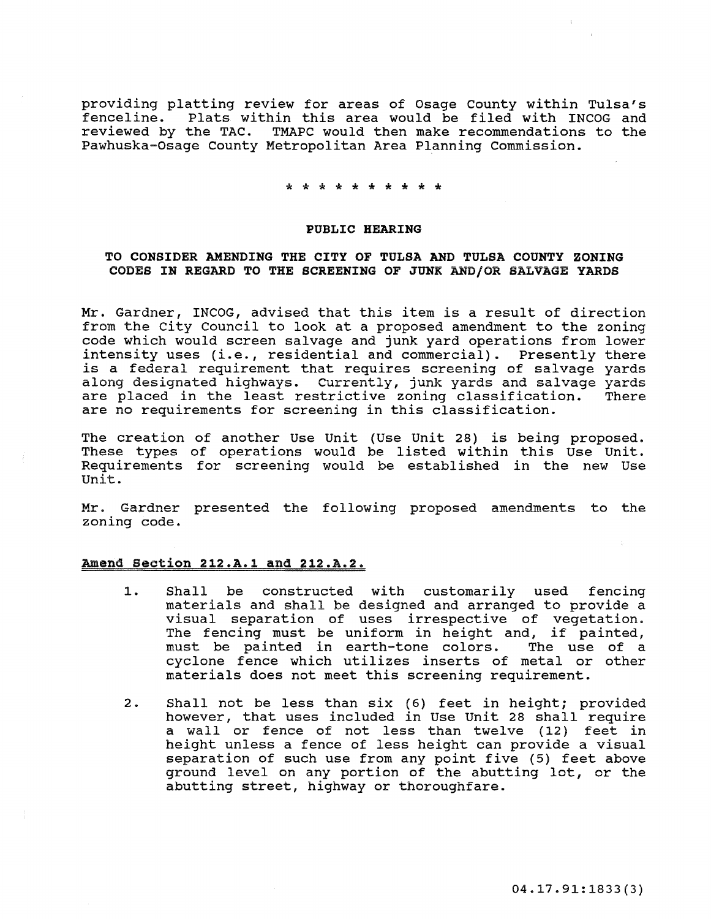providing platting review for areas of Osage county within Tulsa's Plats within this area would be filed with INCOG and reviewed by the TAC. TMAPC would then make recommendations to the Pawhuska-Osage County Metropolitan Area Planning Commission.

\* \* \* \* \* \* \* \* \* \*<br>\*

#### PUBLIC HEARING

## TO CONSIDER AMENDING THE CITY OF TULSA AND TULSA COUNTY ZONING CODES IN REGARD TO THE SCREENING OF JUNK AND/OR SALVAGE YARDS

Mr. Gardner, INCOG, advised that this item is a result of direction from the City Council to look at a proposed amendment to the zoning code which would screen salvage and junk yard operations from lower intensity uses (i.e., residential and commercial). Presently there **is a federal requirement that requires screening of salvage yards**  along designated highways. Currently, junk yards and salvage yards are placed in the least restrictive zoning classification. are no requirements for screening in this classification.

The creation of another Use Unit (Use Unit 28) is being proposed. These types of operations would be listed within this Use Unit. Requirements for screening would be established in the new Use unit.

Mr. Gardner presented the following proposed amendments to the zoning code.

## Amend section 212.A.l and 212.A.2.

- 1. Shall be constructed with customarily used fencing materials and shall be designed and arranged to provide a visual separation of uses irrespective of vegetation. The fencing must be uniform in height and, if painted,<br>must be painted in earth-tone colors. The use of a must be painted in earth-tone colors. cyclone fence which utilizes inserts of metal or other materials does not meet this screening requirement.
- 2. Shall not be less than six (6) feet in height; provided however, that uses included in Use unit 28 shall require a wall or fence of not less than twelve (12) feet in height unless a fence of less height can provide a visual separation of such use from any point five (5) feet above ground level on any portion of the abutting lot, or the abutting street, highway or thoroughfare.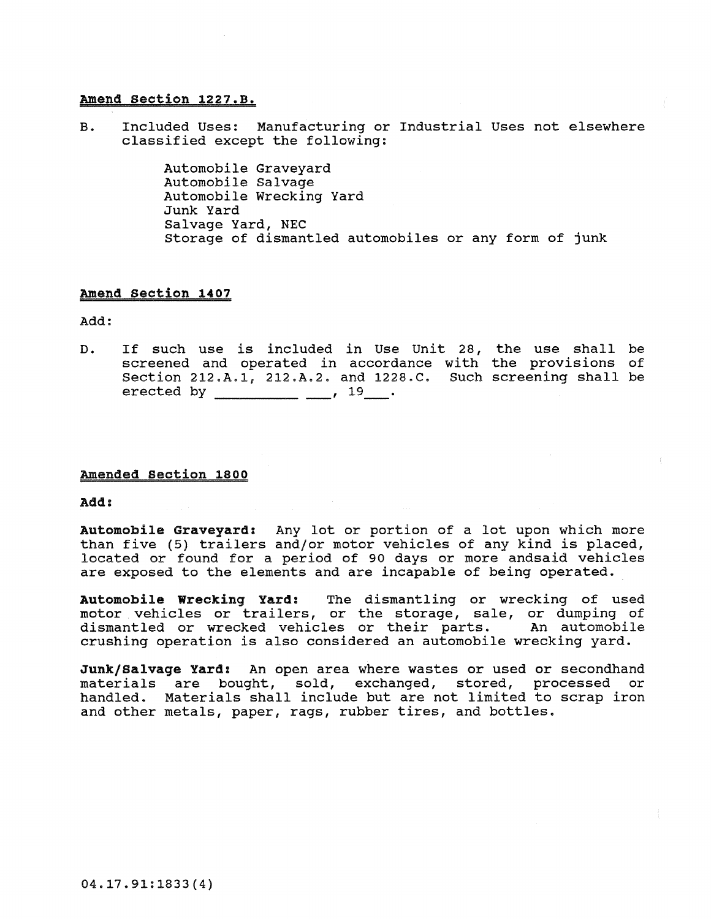## Amend section 1227.B.

B. Included Uses: Manufacturing or Industrial Uses not elsewhere classified except the following:

> Automobile Graveyard Automobile Salvage Automobile Wrecking Yard Junk Yard Salvage Yard, NEC Storage of dismantled automobiles or any form of junk

## Amend section 1407

Add:

D. If such use is included in Use unit 28, screened and operated in accordance with section 212.A.l, 212.A.2. and 1228.C. Such screening shall be erected by \_\_\_\_\_\_\_\_\_\_\_ \_\_\_,  $19$ \_\_. the use shall be the provisions of

## Amended section 1800

Add:

Automobile Graveyard: Any lot or portion of a lot upon which more than five (5) trailers and/or motor vehicles of any kind is placed, located or found for a period of 90 days or more andsaid vehicles are exposed to the elements and are incapable of being operated.

Automobile Wrecking Yard: The dismantling or wrecking of used motor vehicles or trailers, or the storage, sale, or dumping of dismantled or wrecked vehicles or their parts. An automobile crushing operation is also considered an automobile wrecking yard.

Junk/Salvage Yard: An open area where wastes or used or secondhand materials are bought, sold, exchanged, stored, processed or handled. Materials shall include but are not limited to scrap iron and other metals, paper, rags, rubber tires, and bottles.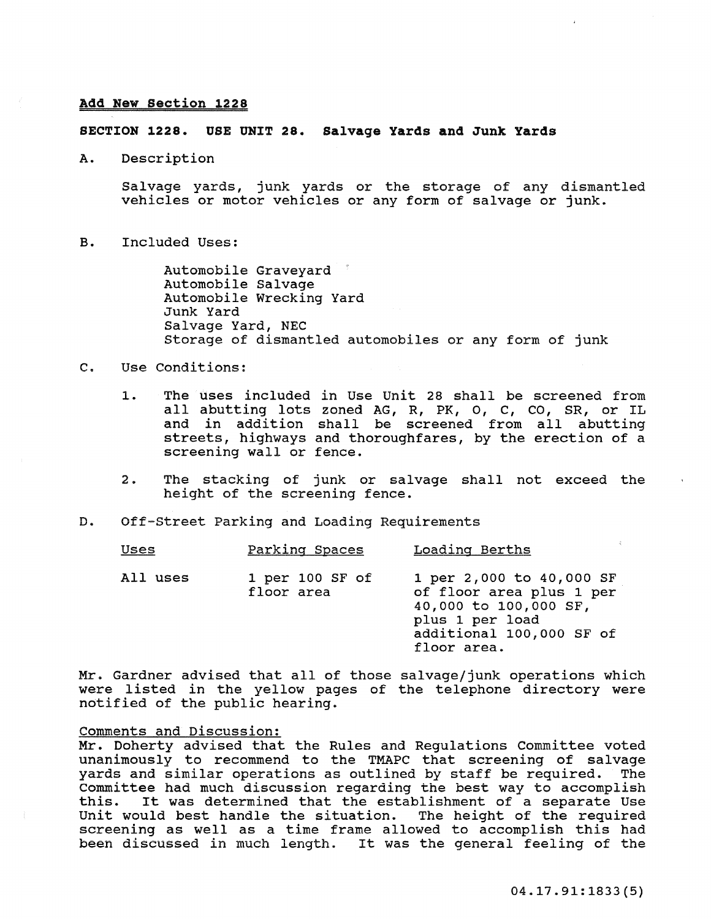## Add New section 1228

## SECTION 1228. USE UNIT 28. Salvage Yards and Junk Yards

A. Description

Salvage yards, junk yards or the storage of any dismantled vehicles or motor vehicles or any form of salvage or junk.

B. Included Uses:

Automobile Graveyard Automobile Salvage Automobile Wrecking Yard Junk Yard Salvage Yard, NEC Storage of dismantled automobiles or any form of junk

## C. Use Conditions:

- 1. The uses included in Use Unit 28 shall be screened from all abutting lots zoned AG, R, PK, 0, C, CO, SR, or IL and in addition shall be screened from all abutting streets, highways and thoroughfares, by the erection of a screening wall or fence.
- 2. The stacking of junk or salvage shall not exceed the height of the screening fence.
- D. Off-Street Parking and Loading Requirements

| <b>Uses</b> | Parking Spaces                    | Loading Berths                                                                                                                              |
|-------------|-----------------------------------|---------------------------------------------------------------------------------------------------------------------------------------------|
| All uses    | $1$ per $100$ SF of<br>floor area | 1 per 2,000 to 40,000 SF<br>of floor area plus 1 per<br>40,000 to 100,000 SF,<br>plus 1 per load<br>additional 100,000 SF of<br>floor area. |

Mr. Gardner advised that all of those salvage/junk operations which were listed in the yellow pages of the telephone directory were notified of the public hearing.

## Comments and Discussion:

Mr. Doherty advised that the Rules and Regulations Committee voted unanimously to recommend to the TMAPC that screening of salvage yards and similar operations as outlined by staff be required. The committee had much discussion regarding the best way to accomplish It was determined that the establishment of a separate Use unit would best handle the situation. The height of the required screening as well as a time frame allowed to accomplish this had been discussed in much length. It was the general feeling of the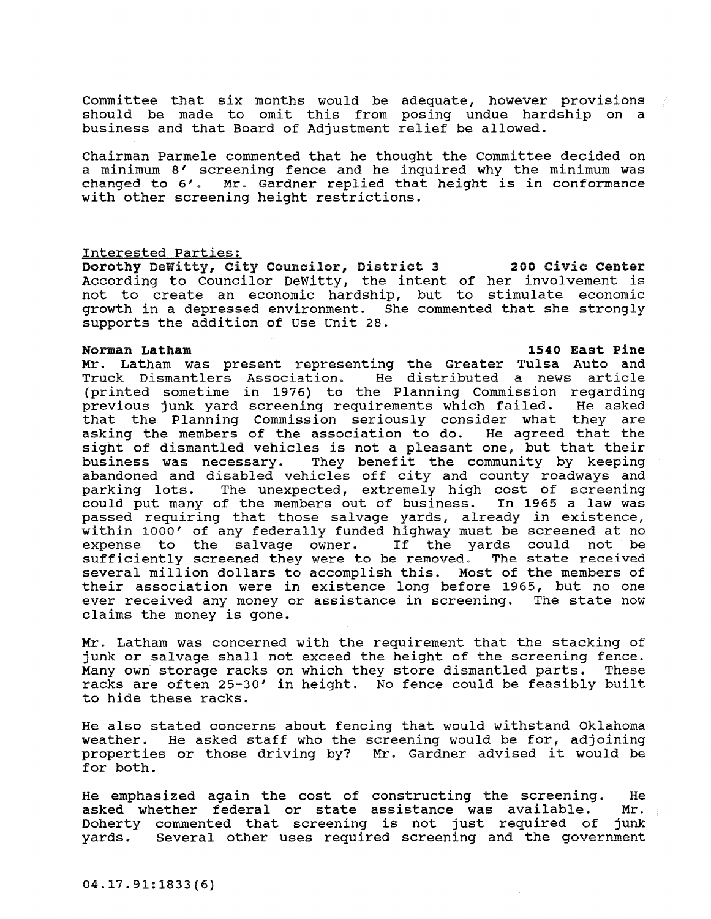committee that six months would be adequate, however provisions should be made to omit this from posing undue hardship on a business and that Board of Adjustment relief be allowed.

Chairman Parmele commented that he thought the Committee decided on a minimum 8' screening fence and he inquired why the minimum was changed to 6'. Mr. Gardner replied that height is in conformance with other screening height restrictions.

## Interested Parties:

Dorothy Dewitty, City Councilor, District 3 200 civic center According to Councilor DeWitty, the intent of her involvement is not to create an economic hardship, but to stimulate economic growth in a depressed environment. She commented that she strongly supports the addition of Use unit 28.

## Norman Latham 1540 East Pine

Mr. Latham was present representing the Greater Tulsa Auto and Truck Dismantlers Association. He distributed a news article (printed sometime in 1976) to the Planning Commission regarding previous junk yard screening requirements which failed. that the Planning Commission seriously consider what they are asking the members of the association to do. He agreed that the sight of dismantled vehicles is not a pleasant one, but that their business was necessary. They benefit the community by keeping abandoned and disabled vehicles off city and county roadways and parking lots. The unexpected, extremely high cost of screening could put many of the members out of business. In 1965 a law was passed requiring that those salvage yards, already in existence, within 1000' of any federally funded highway must be screened at no expense to the salvage owner. If the yards could not be sufficiently screened they were to be removed. The state received several million dollars to accomplish this. Most of the members of their association were in existence long before 1965, but no one ever received any money or assistance in screening. The state now claims the money is gone.

Mr. Latham was concerned with the requirement that the stacking of junk or salvage shall not exceed the height of the screening fence.<br>Many own storage racks on which they store dismantled parts. These Many own storage racks on which they store dismantled parts. racks are often 25-30' in height. No fence could be feasibly built to hide these racks.

He also stated concerns about fencing that would withstand Oklahoma weather. He asked staff who the screening would be for, adjoining properties or those driving by? Mr. Gardner advised it would be for both.

He emphasized again the cost of constructing the screening. He asked whether federal or state assistance was available. Mr. asked whether federal or state assistance was available. Mr.<br>Doherty commented that screening is not just required of junk Doherty commented that screening is not just required of yards. Several other uses required screening and the government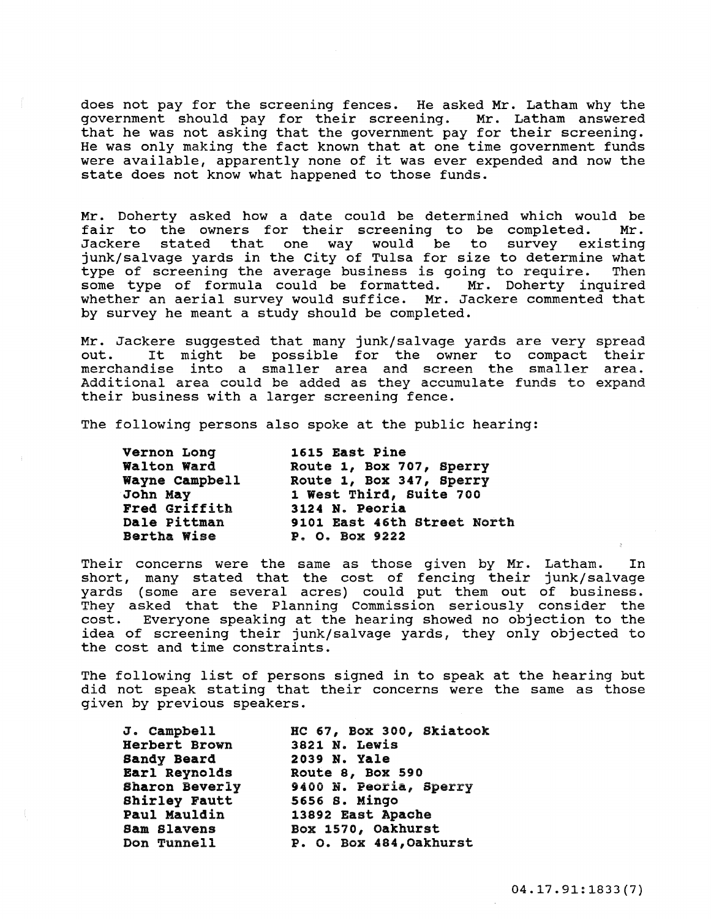does not pay for the screening fences. He asked Mr. Latham why the government should pay for their screening. Mr. Latham answered that he was not asking that the government pay for their screening. He was only making the fact known that at one time government funds were available, apparently none of it was ever expended and now the state does not know what happened to those funds.

Mr. Doherty asked how a date could be determined which would be fair to the owners for their screening to be completed. Mr. fair to the owners for their screening to be completed. Jackere stated that one way would be to survey existing junk/salvage yards in the City of Tulsa for size to determine what<br>type of screening the average business is going to require. Then type of screening the average business is going to require. Then<br>some type of formula could be formatted. Mr. Doherty inquired some type of formula could be formatted. whether an aerial survey would suffice. Mr. Jackere commented that by survey he meant a study should be completed.

Mr. Jackere suggested that many junk/salvage yards are very spread nt. Backete suggested that many junk/saivage yards are very spread<br>out. It might be possible for the owner to compact their merchandise into a smaller area and screen the smaller area. Additional area could be added as they accumulate funds to expand their business with a larger screening fence.

The following persons also spoke at the public hearing:

| Vernon Long        | 1615 East Pine              |
|--------------------|-----------------------------|
| Walton Ward        | Route 1, Box 707, Sperry    |
| Wayne Campbell     | Route 1, Box 347, Sperry    |
| John May           | 1 West Third, Suite 700     |
| Fred Griffith      | 3124 N. Peoria              |
| Dale Pittman       | 9101 East 46th Street North |
| <b>Bertha Wise</b> | P. O. Box 9222              |

Their concerns were the same as those given by Mr. Latham. In short, many stated that the cost of fencing their junk/salvage yards (some are several acres) could put them out of business. They asked that the Planning Commission seriously consider the cost. Everyone speaking at the hearing showed no objection to the idea of screening their junk/salvage yards, they only objected to the cost and time constraints.

The following list of persons signed in to speak at the hearing but did not speak stating that their concerns were the same as those given by previous speakers.

J. Campbell Herbert Brown Sandy Beard Earl Reynolds Sharon Beverly shirley Fautt Paul Mauldin Sam Slavens Don Tunnell

He 67, Box 300, Skiatook 3821 N. Lewis 2039 N. Yale Route 8, Box 590 9400 N. peoria, Sperry 5656 S. Mingo 13892 East Apache Box 1570, Oakhurst P. O. Box 484,Oakhurst

04.17.91: 1833 (7)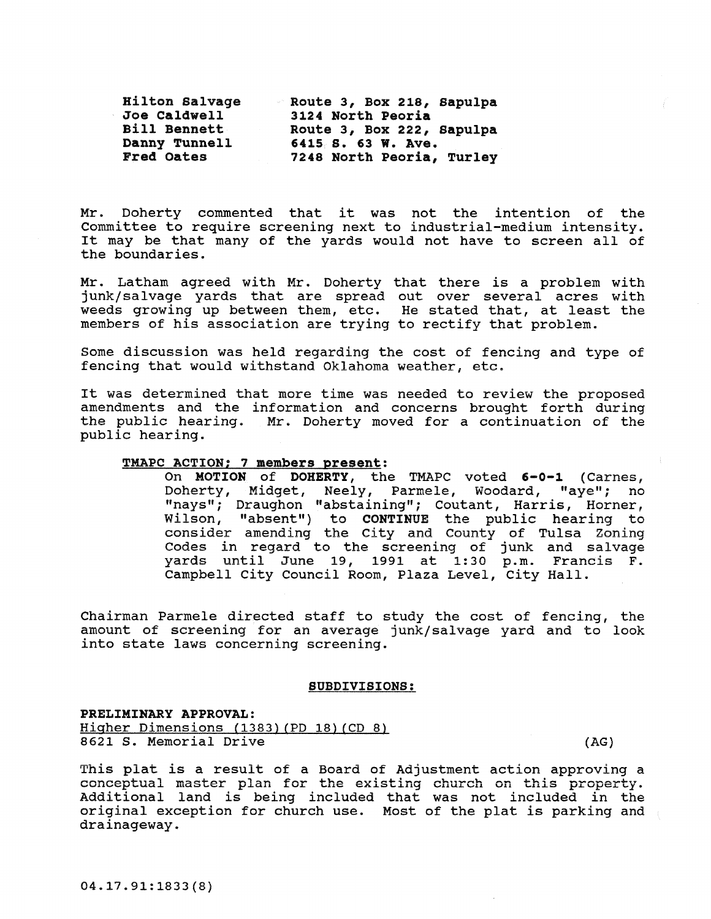| Hilton Salvage      | Route 3, Box 218, Sapulpa |
|---------------------|---------------------------|
| Joe Caldwell        | 3124 North Peoria         |
| <b>Bill Bennett</b> | Route 3, Box 222, Sapulpa |
| Danny Tunnell       | 6415 S. 63 W. Ave.        |
| Fred Oates          | 7248 North Peoria, Turley |

Mr. Doherty commented that it was not the intention of the committee to require screening next to industrial-medium intensity. It may be that many of the yards would not have to screen all of the boundaries.

Mr. Latham agreed with Mr. Doherty that there is a problem with junk/salvage yards that are spread out over several acres with weeds growing up between them, etc. He stated that, at least the members of his association are trying to rectify that problem.

Some discussion was held regarding the cost of fencing and type of fencing that would withstand Oklahoma weather, etc.

It was determined that more time was needed to review the proposed amendments and the information and concerns brought forth during the public hearing. Mr. Doherty moved for a continuation of the public hearing.

#### TMAPC ACTION; 7 members present:

On MOTION of DOHERTY, the TMAPC voted 6-0-1 (Carnes, Doherty, Midget, Neely, Parmele, Woodard, "aye"; no "nays"; Draughon "abstaining"; Coutant, Harris, Horner, Wilson, "absent") to CONTINUE the public hearing to consider amending the city and county of Tulsa Zoning Codes in regard to the screening of junk and salvage yards until June 19, 1991 at 1:30 p.m. Francis F. Campbell City Council Room, Plaza Level, city Hall.

Chairman Parmele directed staff to study the cost of fencing, the amount of screening for an average junk/ salvage yard and to look into state laws concerning screening.

#### SUBDIVISIONS:

## PRELIMINARY APPROVAL: Higher Dimensions (1383) (PD 18) (CD 8) 8621 S. Memorial Drive (AG)

This plat is a result of a Board of Adjustment action approving a **conceptual master plan for the existing church en this property.**  conceptual master pian for the existing enarch on this property.<br>Additional land is being included that was not included in the original exception for church use. Most of the plat is parking and drainageway.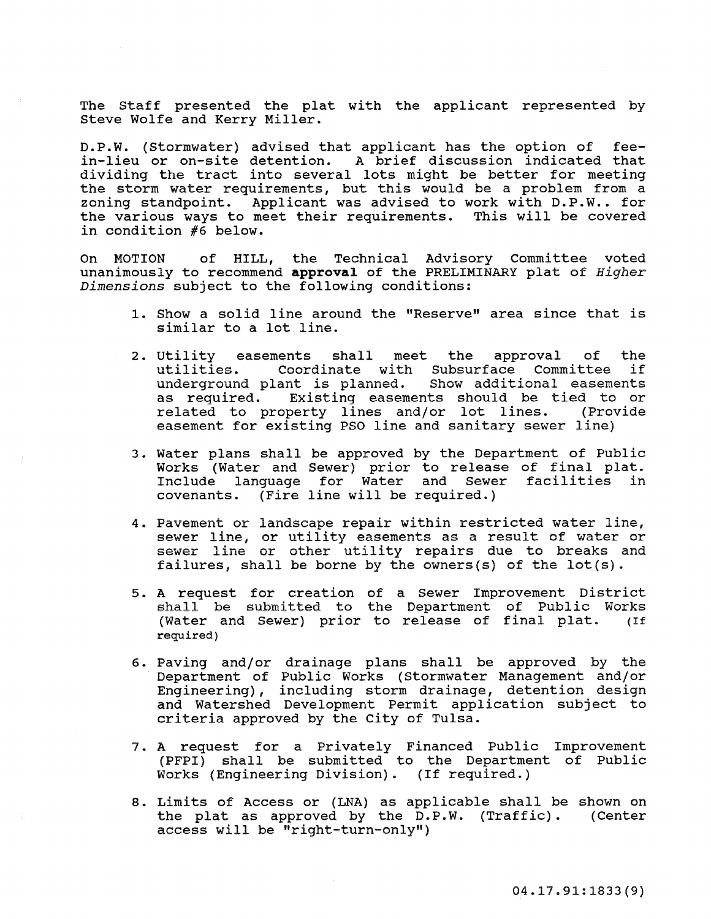The Staff presented the plat with the applicant represented by steve Wolfe and Kerry Miller.

D.P.W. (Stormwater) advised that applicant has the option of feein-lieu or on-site detention. A brief discussion indicated that di viding the tract into several lots might be better for meeting the storm water requirements, but this would be a problem from a zoning standpoint. Applicant was advised to work with D.P.W .. for the various ways to meet their requirements. This will be covered in condition #6 below.

On MOTION of HILL, the Technical Advisory Committee voted unanimously to recommend approval of the PRELIMINARY plat of *Higher Dimensions* subject to the following conditions:

- 1. Show a solid line around the "Reserve" area since that is similar to a lot line.
- 2. utility easements shall meet the approval of the Coordinate with Subsurface Committee underground plant is planned. Show additional easements as required. Existinq easements should be tied to or related to property lines and/or lot lines. (Provide easement for existing PSO line and sanitary sewer line)
- 3. Water plans shall be approved by the Department of Public Works (Water and Sewer) prior to release of final plat. Include language for Water and Sewer facilities in covenants. (Fire line will be required.)
- 4. Pavement or landscape repair within restricted water line, sewer line, or utility easements as a result of water or sewer line or other utility repairs due to breaks and failures, shall be borne by the owners(s) of the  $lot(s)$ .
- 5. A request for creation of a Sewer Improvement District shall be submitted to the Department of Public Works (Water and Sewer) prior to release of final plat. (If required)
- 6. Paving and/or drainage plans shall be approved by the Department of Public Works (Stormwater Management and/or Engineering), including storm drainage, detention design and Watershed Development Permit application subject to criteria approved by the City of Tulsa.
- 7. A request for a Privately Financed Public Improvement (PFPI) shall be submitted to the Department of Public Works (Engineering Division). (If required.)
- 8. Limits of Access or (LNA) as applicable shall be shown on the plat as approved by the D.P.W. (Traffic). (Center the plat as approved by the  $D.P.W.$  (Traffic). access will be "right-turn-only")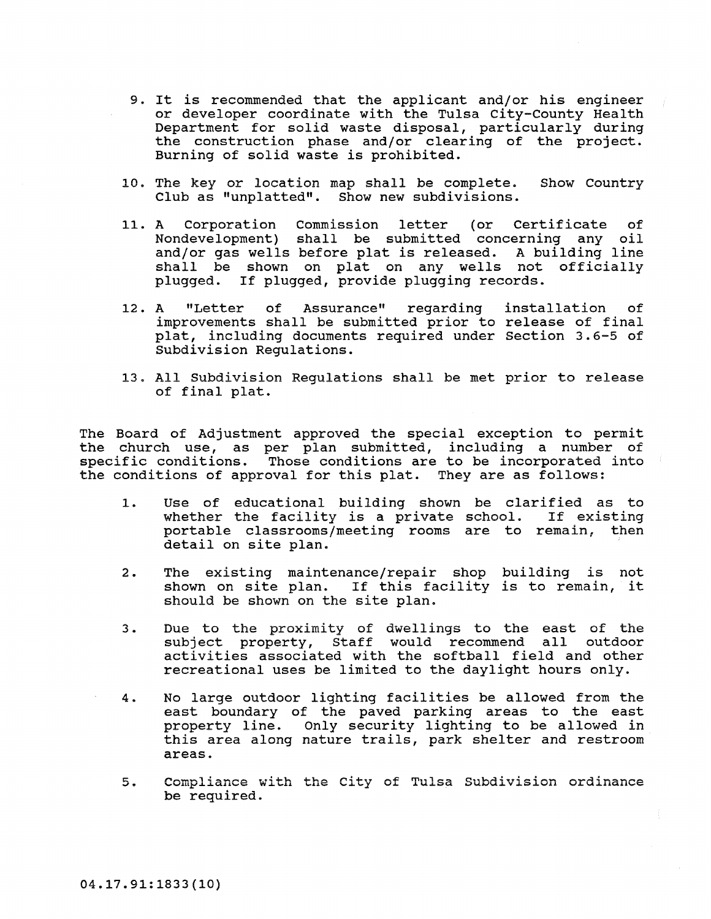- 9. It is recommended that the applicant and/or his engineer or developer coordinate with the Tulsa City-County Health Department for solid waste disposal, particularly during the construction phase and/or clearing of the project. Burning of solid waste is prohibited.
- 10. The key or location map shall be complete. Show Country Club as "unplatted". Show new subdivisions.
- 11. A Corporation Commission letter (or Certificate of Nondevelopment) shall be submitted concerning any oil and/or gas wells before plat is released. A building line shall be shown on plat on any wells not officially plugged. If plugged, provide plugging records.
- 12. A "Letter of Assurance" regarding improvements shall be submitted prior to release of final plat, including documents required under section 3.6-5 of Subdivision Regulations. installation of
- 13. All Subdivision Regulations shall be met prior to release of final plat.

The Board of Adjustment approved the special exception to permit the church use, as per plan submitted, including a number of specific conditions. Those conditions are to be incorporated into the conditions of approval for this plat. They are as follows:

- 1. Use of educational building shown be clarified as to whether the facility is a private school. If existing portable classrooms/meeting rooms are to remain, then detail on site plan.
- 2. The existing maintenance/repair shop building is not shown on site plan. If this facility is to remain, it should be shown on the site plan.
- 3. Due to the proximity of dwellings to the east of the subject property, Staff would recommend all outdoor activities associated with the softball field and other recreational uses be limited to the daylight hours only.
- 4. No large outdoor lighting facilities be allowed from the east boundary of the paved parking areas to the east property line. Only security lighting to be allowed in this area along nature trails, park shelter and restroom areas.
- **5. Compliance with the City of Tulsa Subdivision ordinance**  be required.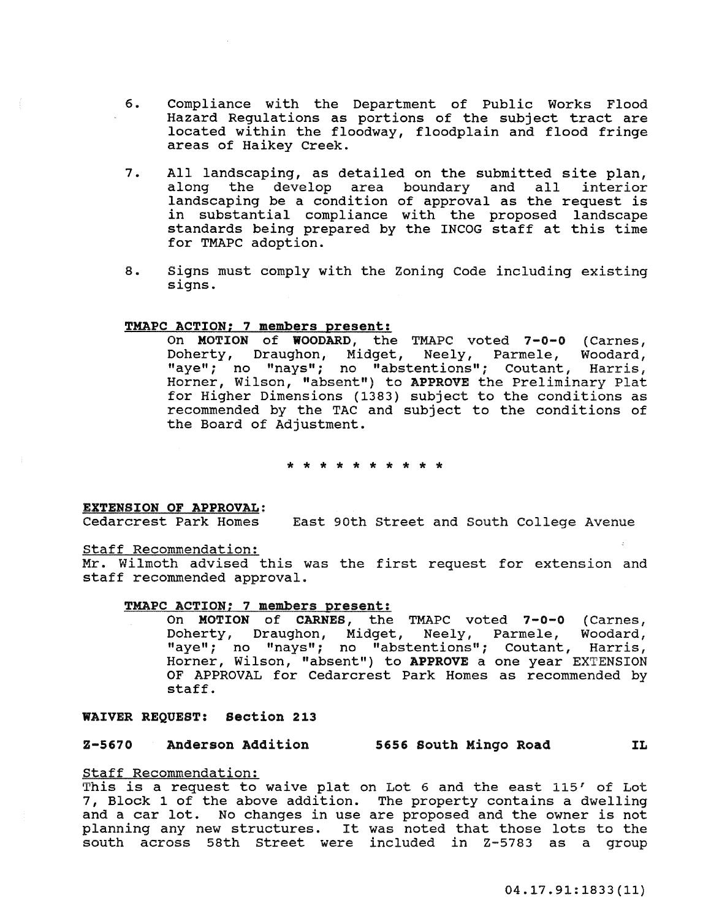- 6. Compliance with the Department of Public Works Flood Hazard Regulations as portions of the subject tract are located within the floodway, floodplain and flood fringe areas of Haikey Creek.
- 7. All landscaping, as detailed on the submitted site plan,<br>along the develop area boundary and all interior the develop area boundary and all landscaping be a condition of approval as the request is in substantial compliance with the proposed landscape standards being prepared by the INCOG staff at this time for TMAPC adoption.
- 8. Signs must comply with the Zoning Code including existing signs.

## TMAPC ACTION; 7 members present:

On MOTION of WOODARD, the TMAPC voted 7-0-0 (Carnes, Doherty, Draughon, Midget, Neely, Parmele, Woodard, "aye"; no "nays"; no "abstentions"; Coutant, Harris, Horner, Wilson, "absent") to APPROVE the Preliminary Plat for Higher Dimensions (1383) subject to the conditions as recommended by the TAC and subject to the conditions of the Board of Adjustment.

\* \* \* \* \* \* \* \* \* \*

## EXTENSION OF APPROVAL:

Cedarcrest Park Homes East 90th street and south College Avenue

## staff Recommendation:

Mr. Wilmoth advised this was the first request for extension and staff recommended approval.

## TMAPC ACTION: 7 members Dresent:

On MOTION of CARNES, the TMAPC voted 7-0-0 (Carnes,<br>Doherty, Draughon, Midget, Neely, Parmele, Woodard, Doherty, Draughon, Midget, Neely, Parmele, "aye"; no "nays"; no "abstentions"; Coutant, Harris, Horner, Wilson, "absent") to APPROVE a one year EXTENSION OF APPROVAL for Cedarcrest Park Homes as recommended by staff.

#### WAIVER REQUEST: section 213

# Z-5670 Anderson Addition 5656 South Mingo Road IL

## Staff Recommendation:

This is a request to waive plat on Lot 6 and the east  $115'$  of Lot 7, Block 1 of the above addition. The property contains a dwelling and a car lot. No changes in use are proposed and the owner is not planning any new structures. It was noted that those lots to the south across 58th Street were included in Z-5783 as a group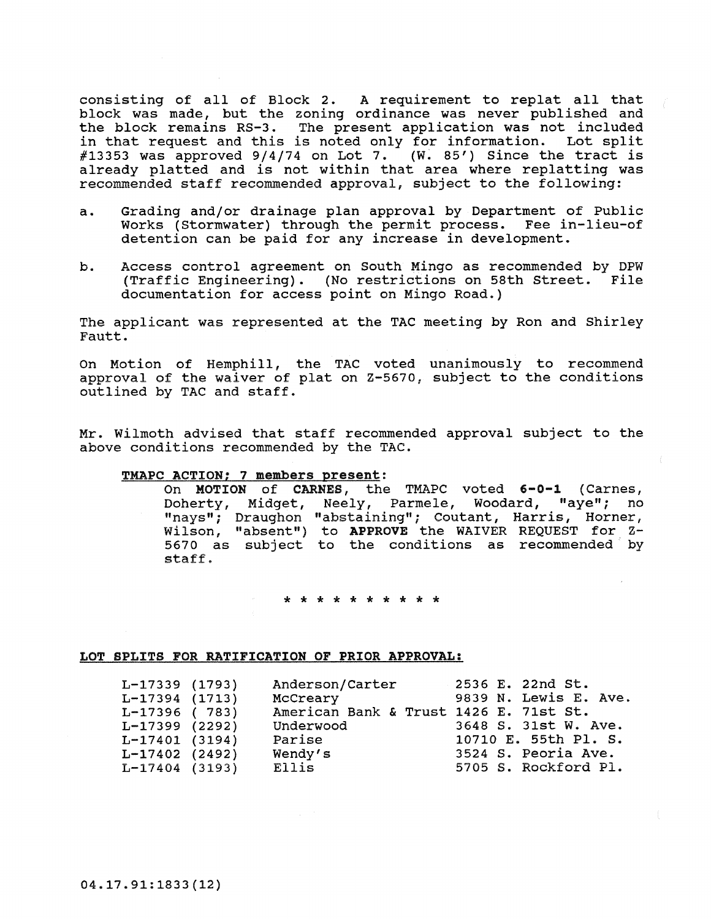consisting of all of Block 2. A requirement to replat all that block was made, but the zoning ordinance was never published and the block remains RS-3. The present application was not included in that request and this is noted only for information. Lot split  $\#13353$  was approved  $9/4/74$  on Lot 7. (W. 85') Since the tract is already platted and is not within that area where replatting was recommended staff recommended approval, subject to the following:

- a. Grading and/or drainage plan approval by Department of Public Works (Stormwater) through the permit process. Fee in-lieu-of detention can be paid for any increase in development.
- b. Access control agreement on South Mingo as recommended by DPW (Traffic Engineering). (No restrictions on 58th Street. File documentation for access point on Mingo Road.)

The applicant was represented at the TAC meeting by Ron and Shirley Fautt.

On Motion of Hemphill, the TAC voted unanimously to recommend approval of the waiver of plat on Z-5670, subject to the conditions outlined by TAC and staff.

Mr. Wilmoth advised that staff recommended approval subject to the above conditions recommended by the TAC.

## TMAPC ACTION; 7 members present:

On MOTION of CARNES, the TMAPC voted 6-0-1 (Carnes, Doherty, Midget, Neely, Parmele, Woodard, "aye"; no "nays"; Draughon "abstaining"; coutant, Harris, Horner, Wilson, "absent") to APPROVE the WAIVER REQUEST for Z-5670 as subject to the conditions as recommended by staff.

\* \* \* \* \* \* \* \* \* \*

#### LOT SPLITS FOR RATIFICATION OF PRIOR APPROVAL:

| $L-17339$ (1793)<br>$L-17394$ (1713)<br>$L-17396$ (783)<br>$L-17399$ (2292) | Anderson/Carter<br>McCreary<br>American Bank & Trust 1426 E. 71st St.<br>Underwood | 2536 E. 22nd St.<br>9839 N. Lewis E. Ave.<br>3648 S. 31st W. Ave. |
|-----------------------------------------------------------------------------|------------------------------------------------------------------------------------|-------------------------------------------------------------------|
| $L-17401$ (3194)                                                            | Parise                                                                             | 10710 E. 55th Pl. S.                                              |
| $L-17402$ (2492)                                                            | Wendy's                                                                            | 3524 S. Peoria Ave.                                               |
| $L-17404$ (3193)                                                            | Ellis                                                                              | 5705 S. Rockford Pl.                                              |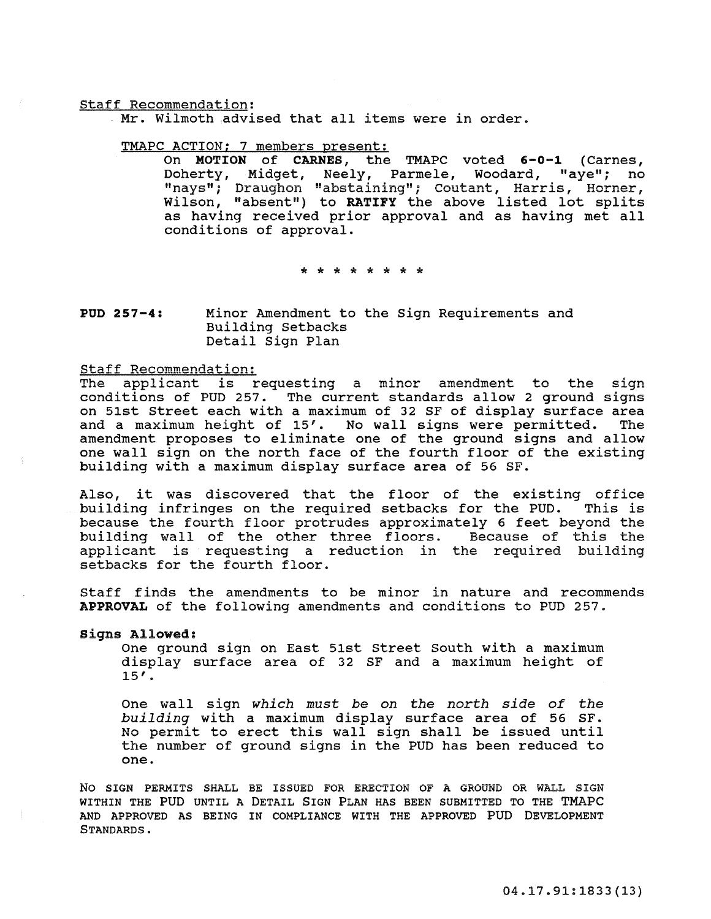#### staff Recommendation:

Mr. wilmoth advised that all items were in order.

## TMAPC ACTION; 7 members present:

On **MOTION of CARNES,** the TMAPC voted **6-0-1** (Carnes, Doherty, Midget, Neely, Parmele, Woodard, "aye"; no "nays"; Draughon "abstaining"; coutant, Harris, Horner, Wilson, "absent") to **RATIFY** the above listed lot splits as having received prior approval and as having met all conditions of approval.

\* \* \* \* \* \* \* \*

#### **POD 257-4:**  Minor Amendment to the Sign Requirements and Building Setbacks Detail Sign Plan

#### Staff Recommendation:

The applicant is requesting a minor amendment to the sign conditions of PUD 257. The current standards allow 2 ground signs on 51st Street each with a maximum of 32 SF of display surface area<br>and a maximum height of 15'. No wall signs were permitted. The and a maximum height of 15'. No wall signs were permitted. amendment proposes to eliminate one of the ground signs and allow one wall sign on the north face of the fourth floor of the existing building with a maximum display surface area of 56 SF.

Also, it was discovered that the floor of the existing office<br>building infringes on the required setbacks for the PUD. This is building infringes on the required setbacks for the PUD. because the fourth floor protrudes approximately 6 feet beyond the building wall of the other three floors. Because of this the applicant is requesting a reduction in the required building setbacks for the fourth floor.

Staff finds the amendments to be minor in nature and recommends APPROVAL of the following amendments and conditions to PUD 257.

signs Allowed:

One ground sign on East 51st Street South with a maximum display surface area of 32 SF and a maximum height of  $15'$ .

One wall sign which must be on the north side of the building with a maximum display surface area of 56 SF. No permit to erect this wall sign shall be issued until the number of ground signs in the PUD has been reduced to one.

No SIGN PERMITS sHALL BE ISSUED FOR ERECTION OF A GROUND OR WALL SIGN WITHIN THE PUD UNTIL A DETAIL SIGN PLAN HAS BEEN SUBMITTED TO THE TMAPC AND APPROVED AS BEING IN COMPLIANCE WITH THE APPROVED PUD DEVELOPMENT STANDARDS.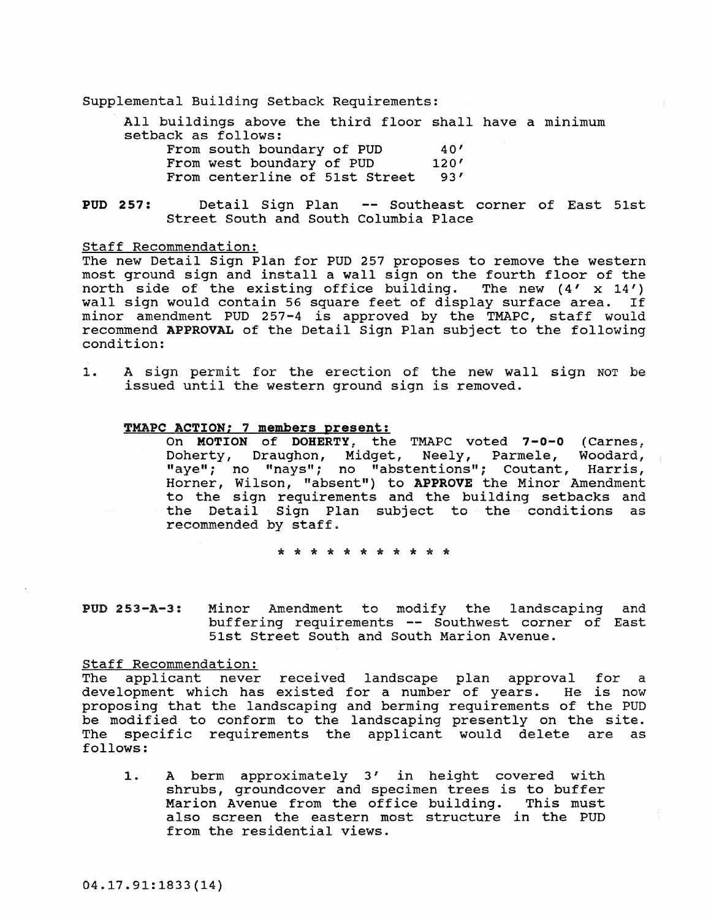Supplemental Building Setback Requirements:

All buildings above the third floor shall have a minimum setback as follows: From south boundary of PUD  $40'$ <br>From west boundary of PUD  $120'$ From west boundary of PUD

From centerline of 51st Street 93'

PUD 257: Detail Sign Plan -- Southeast corner of East 51st Street South and South Columbia Place

Staff Recommendation:

The new Detail Sign Plan for PUD 257 proposes to remove the western most ground sign and install a wall sign on the fourth floor of the north side of the existing office building. The new  $(4' \times 14')$ north side of the existing office building. wall sign would contain 56 square feet of display surface area. If minor amendment PUD 257-4 is approved by the TMAPC, staff would recommend APPROVAL of the Detail Sign Plan subject to the following condition:

1. A sign permit for the erection of the new wall sign NOT be issued until the western ground sign is removed.

## TMAPC ACTION; 7 members present:

On MOTION of DOHERTY, the TMAPC voted 7-0-0 (Carnes, Doherty, Draughon, Midget, Neely, Parmele, Woodard, "aye"; no "nays"; no "abstentions"; Coutant, Harris, Horner, Wilson, "absent") to APPROVE the Minor Amendment to the sign requirements and the building setbacks and the Detail Sign Plan subject to the conditions as recommended by staff.

\* \* \* \* \* \* \* \* \* \* \*

PUD 253-A-3: Minor Amendment to modify the landscaping and buffering requirements -- Southwest corner of East 51st Street South and South Marion Avenue.

#### Staff Recommendation:

The applicant never received landscape plan approval for a development which has existed for a number of years. He is now proposing that the landscaping and berming requirements of the PUD be modified to conform to the landscaping presently on the site. The specific requirements the applicant would delete are as follows:

1. A berm approximately 3' in height covered with shrubs, groundcover and specimen trees is to buffer<br>Marion Avenue from the office building. This must Marion Avenue from the office building. also screen the eastern most structure in the PUD from the residential views.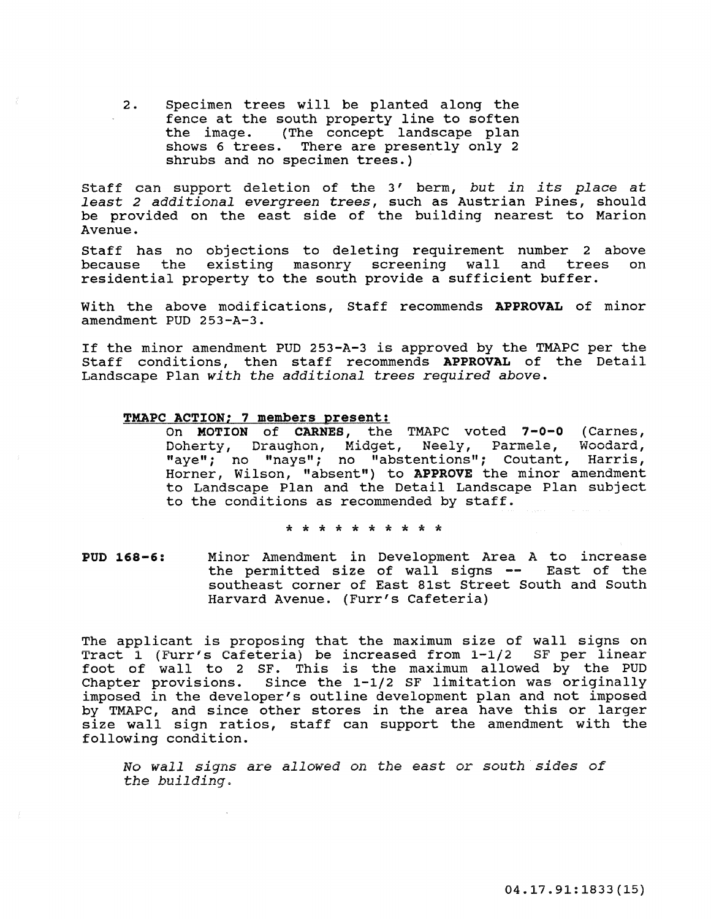2. Specimen trees will be planted along the fence at the south property line to soften the image. (The concept landscape plan shows 6 trees. There are presently only 2 shrubs and no specimen trees.)

staff can support deletion of the 3 I berm, *but in its place* at *least* 2 *additional evergreen trees,* such as Austrian Pines, should be provided on the east side of the building nearest to Marion Avenue.

Staff has no objections to deleting requirement number 2 above<br>because the existing masonry screening wall and trees on because the existing masonry screening wall residential property to the south provide a sufficient buffer.

with the above modifications, Staff recommends APPROVAL of minor amendment PUD 253-A-3.

If the minor amendment PUD 253-A-3 is approved by the TMAPC per the Staff conditions, then staff recommends APPROVAL of the Detail Landscape Plan *with the additional trees required above.* 

## TMAPC ACTION; 7 members present:

On MOTION of CARNES, the TMAPC voted 7-0-0 (Carnes, **Doherty, Draughon, Midget, Neely, Parmele, Woodard,**  "aye"; no "nays"; no "abstentions"; Coutant, Harris, Horner, Wilson, "absent") to APPROVE the minor amendment to Landscape Plan and the Detail Landscape Plan subject to the conditions as recommended by staff.

\* \* \* \* \* \* \* \* \* \*

PUD 168-6: Minor Amendment in Development Area A to increase the permitted size of wall signs -- East of the southeast corner of East 81st Street South and South Harvard Avenue. (Furr's Cafeteria)

The applicant is proposing that the maximum size of wall signs on Tract  $1$  (Furr's Cafeteria) be increased from  $1-1/2$  SF per linear foot of wall to 2 SF. This is the maximum allowed by the PUD Chapter provisions. Since the 1-1/2 SF limitation was originally imposed in the developer's outline development plan and not imposed by TMAPC, and since other stores in the area have this or larger size wall sign ratios, staff can support the amendment with the following condition.

No *wall signs* are *allowed on the east* or *south sides of the building.*